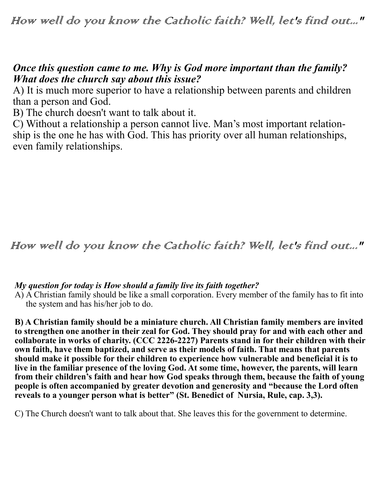# *Once this question came to me. Why is God more important than the family? What does the church say about this issue?*

A) It is much more superior to have a relationship between parents and children than a person and God.

B) The church doesn't want to talk about it.

C) Without a relationship a person cannot live. Man's most important relationship is the one he has with God. This has priority over all human relationships, even family relationships.

# How well do you know the Catholic faith? Well, let's find out..."

### *My question for today is How should a family live its faith together?*

A) A Christian family should be like a small corporation. Every member of the family has to fit into the system and has his/her job to do.

**B) A Christian family should be a miniature church. All Christian family members are invited to strengthen one another in their zeal for God. They should pray for and with each other and collaborate in works of charity. (CCC 2226-2227) Parents stand in for their children with their own faith, have them baptized, and serve as their models of faith. That means that parents should make it possible for their children to experience how vulnerable and beneficial it is to live in the familiar presence of the loving God. At some time, however, the parents, will learn from their children's faith and hear how God speaks through them, because the faith of young people is often accompanied by greater devotion and generosity and "because the Lord often reveals to a younger person what is better" (St. Benedict of Nursia, Rule, cap. 3,3).**

C) The Church doesn't want to talk about that. She leaves this for the government to determine.